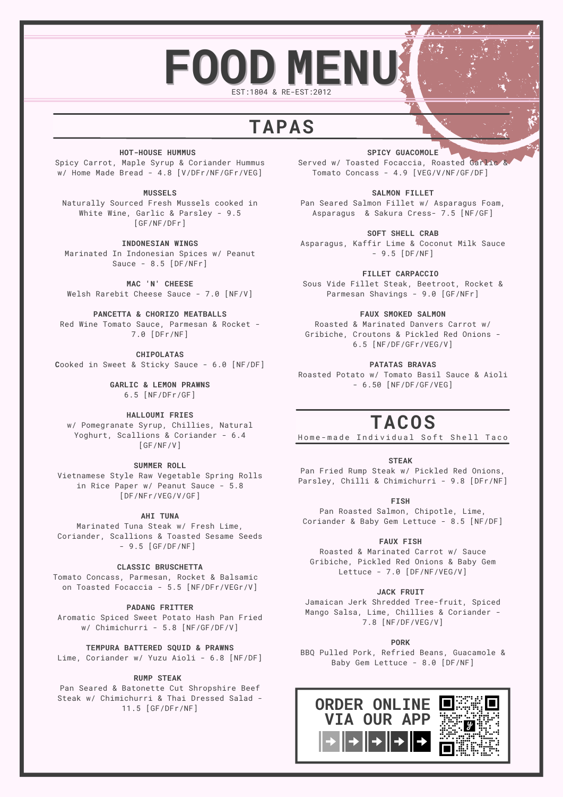# $F$ OOD MENU EST:1804 & RE-EST:2012

## **TAPAS**

### **HOT-HOUSE HUMMUS**

Spicy Carrot, Maple Syrup & Coriander Hummus w/ Home Made Bread - 4.8 [V/DFr/NF/GFr/VEG]

### **MUSSELS**

Naturally Sourced Fresh Mussels cooked in White Wine, Garlic & Parsley - 9.5 [GF/NF/DFr]

### **INDONESIAN WINGS**

Marinated In Indonesian Spices w/ Peanut Sauce - 8.5 [DF/NFr]

**MAC 'N' CHEESE**

Welsh Rarebit Cheese Sauce - 7.0 [NF/V]

#### **PANCETTA & CHORIZO MEATBALLS**

Red Wine Tomato Sauce, Parmesan & Rocket - 7.0 [DFr/NF]

**CHIPOLATAS**

**C**ooked in Sweet & Sticky Sauce - 6.0 [NF/DF]

**GARLIC & LEMON PRAWNS** 6.5 [NF/DFr/GF]

### **HALLOUMI FRIES**

w/ Pomegranate Syrup, Chillies, Natural Yoghurt, Scallions & Coriander - 6.4 [GF/NF/V]

**SUMMER ROLL**

Vietnamese Style Raw Vegetable Spring Rolls in Rice Paper w/ Peanut Sauce - 5.8 [DF/NFr/VEG/V/GF]

**AHI TUNA**

Marinated Tuna Steak w/ Fresh Lime, Coriander, Scallions & Toasted Sesame Seeds - 9.5 [GF/DF/NF]

**CLASSIC BRUSCHETTA**

Tomato Concass, Parmesan, Rocket & Balsamic on Toasted Focaccia - 5.5 [NF/DFr/VEGr/V]

**PADANG FRITTER**

Aromatic Spiced Sweet Potato Hash Pan Fried w/ Chimichurri - 5.8 [NF/GF/DF/V]

**TEMPURA BATTERED SQUID & PRAWNS**

Lime, Coriander w/ Yuzu Aioli - 6.8 [NF/DF]

### **RUMP STEAK**

Pan Seared & Batonette Cut Shropshire Beef Steak w/ Chimichurri & Thai Dressed Salad - 11.5 [GF/DFr/NF]

**SPICY GUACOMOLE** Served w/ Toasted Focaccia, Roasted Garlic Tomato Concass - 4.9 [VEG/V/NF/GF/DF]

**SALMON FILLET**

Pan Seared Salmon Fillet w/ Asparagus Foam, Asparagus & Sakura Cress- 7.5 [NF/GF]

**SOFT SHELL CRAB** Asparagus, Kaffir Lime & Coconut Milk Sauce - 9.5 [DF/NF]

**FILLET CARPACCIO** Sous Vide Fillet Steak, Beetroot, Rocket & Parmesan Shavings - 9.0 [GF/NFr]

### **FAUX SMOKED SALMON**

Roasted & Marinated Danvers Carrot w/ Gribiche, Croutons & Pickled Red Onions - 6.5 [NF/DF/GFr/VEG/V]

**PATATAS BRAVAS**

Roasted Potato w/ Tomato Basil Sauce & Aioli - 6.50 [NF/DF/GF/VEG]

## **TACOS**

Home-made Individual Soft Shell Taco

## **STEAK**

Pan Fried Rump Steak w/ Pickled Red Onions, Parsley, Chilli & Chimichurri - 9.8 [DFr/NF]

**FISH**

Pan Roasted Salmon, Chipotle, Lime, Coriander & Baby Gem Lettuce - 8.5 [NF/DF]

#### **FAUX FISH**

Roasted & Marinated Carrot w/ Sauce Gribiche, Pickled Red Onions & Baby Gem Lettuce - 7.0 [DF/NF/VEG/V]

#### **JACK FRUIT**

Jamaican Jerk Shredded Tree-fruit, Spiced Mango Salsa, Lime, Chillies & Coriander - 7.8 [NF/DF/VEG/V]

#### **PORK**

BBQ Pulled Pork, Refried Beans, Guacamole & Baby Gem Lettuce - 8.0 [DF/NF]